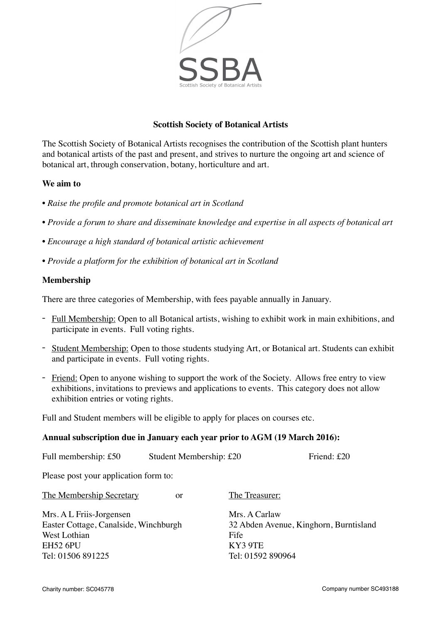

## **Scottish Society of Botanical Artists**

The Scottish Society of Botanical Artists recognises the contribution of the Scottish plant hunters and botanical artists of the past and present, and strives to nurture the ongoing art and science of botanical art, through conservation, botany, horticulture and art.

### **We aim to**

- *Raise the profile and promote botanical art in Scotland*
- *Provide a forum to share and disseminate knowledge and expertise in all aspects of botanical art*
- *Encourage a high standard of botanical artistic achievement*
- *Provide a platform for the exhibition of botanical art in Scotland*

### **Membership**

There are three categories of Membership, with fees payable annually in January.

- Full Membership: Open to all Botanical artists, wishing to exhibit work in main exhibitions, and participate in events. Full voting rights.
- Student Membership: Open to those students studying Art, or Botanical art. Students can exhibit and participate in events. Full voting rights.
- Friend: Open to anyone wishing to support the work of the Society. Allows free entry to view exhibitions, invitations to previews and applications to events. This category does not allow exhibition entries or voting rights.

Full and Student members will be eligible to apply for places on courses etc.

#### **Annual subscription due in January each year prior to AGM (19 March 2016):**

| Full membership: £50                                                                                                      | Student Membership: £20 | Friend: £20                                                                                     |
|---------------------------------------------------------------------------------------------------------------------------|-------------------------|-------------------------------------------------------------------------------------------------|
| Please post your application form to:                                                                                     |                         |                                                                                                 |
| The Membership Secretary                                                                                                  | or                      | The Treasurer:                                                                                  |
| Mrs. A L Friis-Jorgensen<br>Easter Cottage, Canalside, Winchburgh<br>West Lothian<br><b>EH52 6PU</b><br>Tel: 01506 891225 |                         | Mrs. A Carlaw<br>32 Abden Avenue, Kinghorn, Burntisland<br>Fife<br>KY3 9TE<br>Tel: 01592 890964 |